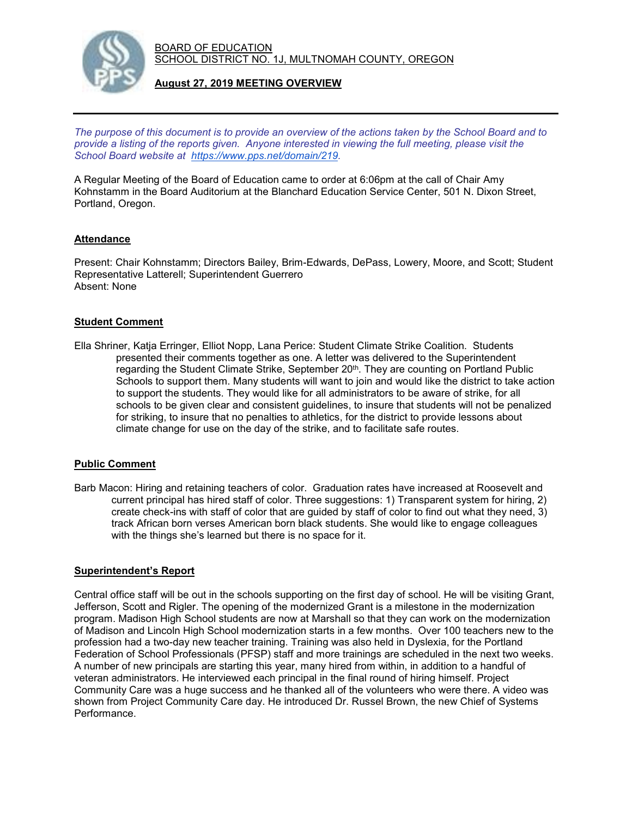

# **August 27, 2019 MEETING OVERVIEW**

*The purpose of this document is to provide an overview of the actions taken by the School Board and to provide a listing of the reports given. Anyone interested in viewing the full meeting, please visit the School Board website at [https://www.pps.net/domain/219.](https://www.pps.net/domain/219)*

A Regular Meeting of the Board of Education came to order at 6:06pm at the call of Chair Amy Kohnstamm in the Board Auditorium at the Blanchard Education Service Center, 501 N. Dixon Street, Portland, Oregon.

### **Attendance**

Present: Chair Kohnstamm; Directors Bailey, Brim-Edwards, DePass, Lowery, Moore, and Scott; Student Representative Latterell; Superintendent Guerrero Absent: None

### **Student Comment**

Ella Shriner, Katja Erringer, Elliot Nopp, Lana Perice: Student Climate Strike Coalition. Students presented their comments together as one. A letter was delivered to the Superintendent regarding the Student Climate Strike, September 20<sup>th</sup>. They are counting on Portland Public Schools to support them. Many students will want to join and would like the district to take action to support the students. They would like for all administrators to be aware of strike, for all schools to be given clear and consistent guidelines, to insure that students will not be penalized for striking, to insure that no penalties to athletics, for the district to provide lessons about climate change for use on the day of the strike, and to facilitate safe routes.

#### **Public Comment**

Barb Macon: Hiring and retaining teachers of color. Graduation rates have increased at Roosevelt and current principal has hired staff of color. Three suggestions: 1) Transparent system for hiring, 2) create check-ins with staff of color that are guided by staff of color to find out what they need, 3) track African born verses American born black students. She would like to engage colleagues with the things she's learned but there is no space for it.

#### **Superintendent's Report**

Central office staff will be out in the schools supporting on the first day of school. He will be visiting Grant, Jefferson, Scott and Rigler. The opening of the modernized Grant is a milestone in the modernization program. Madison High School students are now at Marshall so that they can work on the modernization of Madison and Lincoln High School modernization starts in a few months. Over 100 teachers new to the profession had a two-day new teacher training. Training was also held in Dyslexia, for the Portland Federation of School Professionals (PFSP) staff and more trainings are scheduled in the next two weeks. A number of new principals are starting this year, many hired from within, in addition to a handful of veteran administrators. He interviewed each principal in the final round of hiring himself. Project Community Care was a huge success and he thanked all of the volunteers who were there. A video was shown from Project Community Care day. He introduced Dr. Russel Brown, the new Chief of Systems Performance.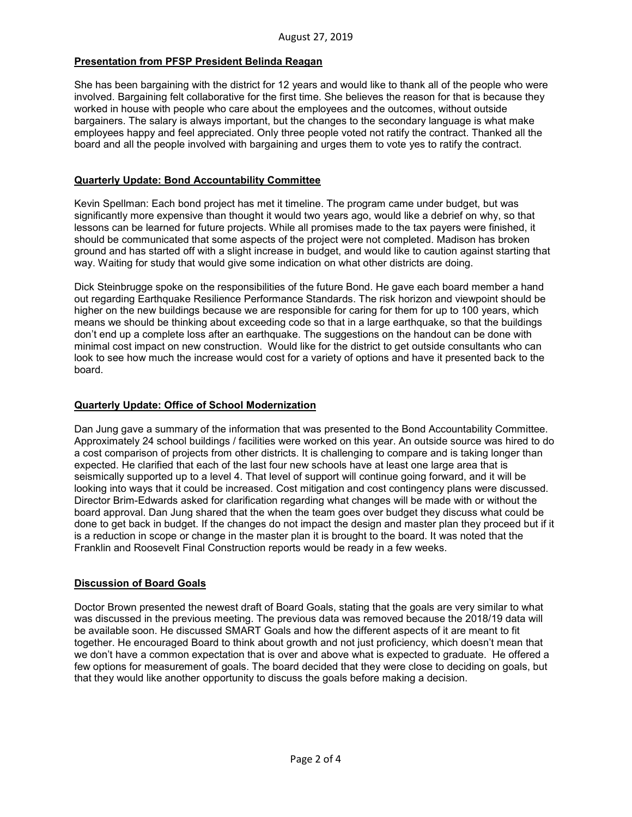## **Presentation from PFSP President Belinda Reagan**

She has been bargaining with the district for 12 years and would like to thank all of the people who were involved. Bargaining felt collaborative for the first time. She believes the reason for that is because they worked in house with people who care about the employees and the outcomes, without outside bargainers. The salary is always important, but the changes to the secondary language is what make employees happy and feel appreciated. Only three people voted not ratify the contract. Thanked all the board and all the people involved with bargaining and urges them to vote yes to ratify the contract.

### **Quarterly Update: Bond Accountability Committee**

Kevin Spellman: Each bond project has met it timeline. The program came under budget, but was significantly more expensive than thought it would two years ago, would like a debrief on why, so that lessons can be learned for future projects. While all promises made to the tax payers were finished, it should be communicated that some aspects of the project were not completed. Madison has broken ground and has started off with a slight increase in budget, and would like to caution against starting that way. Waiting for study that would give some indication on what other districts are doing.

Dick Steinbrugge spoke on the responsibilities of the future Bond. He gave each board member a hand out regarding Earthquake Resilience Performance Standards. The risk horizon and viewpoint should be higher on the new buildings because we are responsible for caring for them for up to 100 years, which means we should be thinking about exceeding code so that in a large earthquake, so that the buildings don't end up a complete loss after an earthquake. The suggestions on the handout can be done with minimal cost impact on new construction. Would like for the district to get outside consultants who can look to see how much the increase would cost for a variety of options and have it presented back to the board.

## **Quarterly Update: Office of School Modernization**

Dan Jung gave a summary of the information that was presented to the Bond Accountability Committee. Approximately 24 school buildings / facilities were worked on this year. An outside source was hired to do a cost comparison of projects from other districts. It is challenging to compare and is taking longer than expected. He clarified that each of the last four new schools have at least one large area that is seismically supported up to a level 4. That level of support will continue going forward, and it will be looking into ways that it could be increased. Cost mitigation and cost contingency plans were discussed. Director Brim-Edwards asked for clarification regarding what changes will be made with or without the board approval. Dan Jung shared that the when the team goes over budget they discuss what could be done to get back in budget. If the changes do not impact the design and master plan they proceed but if it is a reduction in scope or change in the master plan it is brought to the board. It was noted that the Franklin and Roosevelt Final Construction reports would be ready in a few weeks.

#### **Discussion of Board Goals**

Doctor Brown presented the newest draft of Board Goals, stating that the goals are very similar to what was discussed in the previous meeting. The previous data was removed because the 2018/19 data will be available soon. He discussed SMART Goals and how the different aspects of it are meant to fit together. He encouraged Board to think about growth and not just proficiency, which doesn't mean that we don't have a common expectation that is over and above what is expected to graduate. He offered a few options for measurement of goals. The board decided that they were close to deciding on goals, but that they would like another opportunity to discuss the goals before making a decision.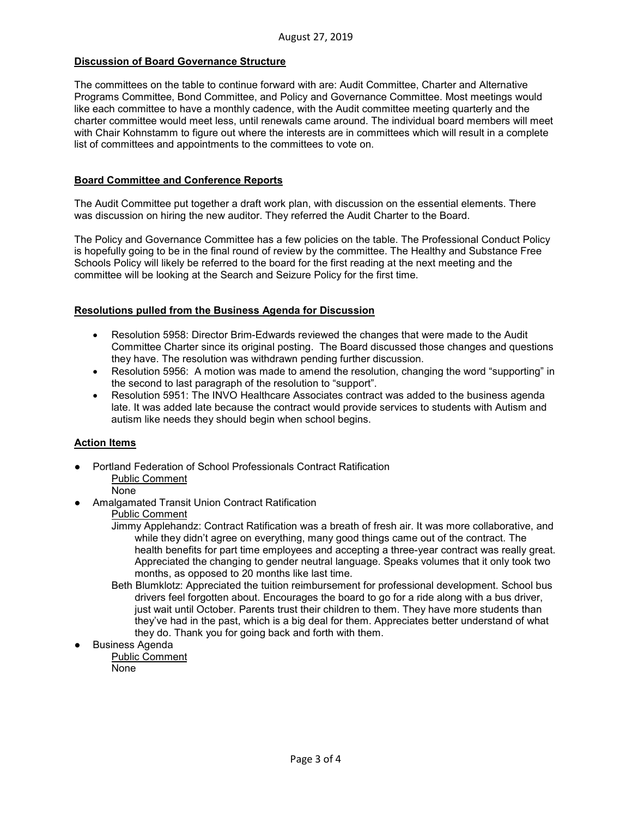### **Discussion of Board Governance Structure**

The committees on the table to continue forward with are: Audit Committee, Charter and Alternative Programs Committee, Bond Committee, and Policy and Governance Committee. Most meetings would like each committee to have a monthly cadence, with the Audit committee meeting quarterly and the charter committee would meet less, until renewals came around. The individual board members will meet with Chair Kohnstamm to figure out where the interests are in committees which will result in a complete list of committees and appointments to the committees to vote on.

#### **Board Committee and Conference Reports**

The Audit Committee put together a draft work plan, with discussion on the essential elements. There was discussion on hiring the new auditor. They referred the Audit Charter to the Board.

The Policy and Governance Committee has a few policies on the table. The Professional Conduct Policy is hopefully going to be in the final round of review by the committee. The Healthy and Substance Free Schools Policy will likely be referred to the board for the first reading at the next meeting and the committee will be looking at the Search and Seizure Policy for the first time.

### **Resolutions pulled from the Business Agenda for Discussion**

- Resolution 5958: Director Brim-Edwards reviewed the changes that were made to the Audit Committee Charter since its original posting. The Board discussed those changes and questions they have. The resolution was withdrawn pending further discussion.
- Resolution 5956: A motion was made to amend the resolution, changing the word "supporting" in the second to last paragraph of the resolution to "support".
- Resolution 5951: The INVO Healthcare Associates contract was added to the business agenda late. It was added late because the contract would provide services to students with Autism and autism like needs they should begin when school begins.

## **Action Items**

- **Portland Federation of School Professionals Contract Ratification** Public Comment
	- None
- Amalgamated Transit Union Contract Ratification

## Public Comment

- Jimmy Applehandz: Contract Ratification was a breath of fresh air. It was more collaborative, and while they didn't agree on everything, many good things came out of the contract. The health benefits for part time employees and accepting a three-year contract was really great. Appreciated the changing to gender neutral language. Speaks volumes that it only took two months, as opposed to 20 months like last time.
- Beth Blumklotz: Appreciated the tuition reimbursement for professional development. School bus drivers feel forgotten about. Encourages the board to go for a ride along with a bus driver, just wait until October. Parents trust their children to them. They have more students than they've had in the past, which is a big deal for them. Appreciates better understand of what they do. Thank you for going back and forth with them.
- **Business Agenda**

Public Comment

None